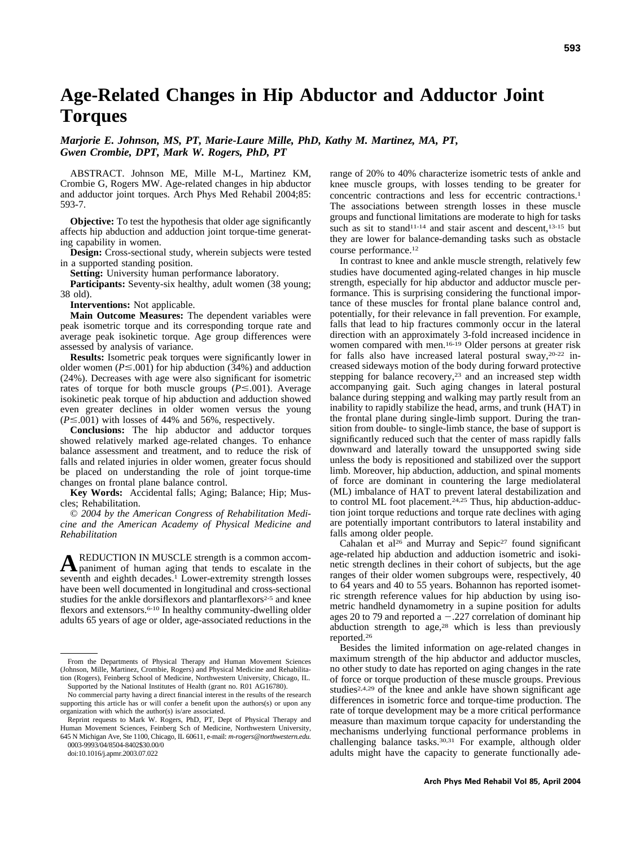# **Age-Related Changes in Hip Abductor and Adductor Joint Torques**

# *Marjorie E. Johnson, MS, PT, Marie-Laure Mille, PhD, Kathy M. Martinez, MA, PT, Gwen Crombie, DPT, Mark W. Rogers, PhD, PT*

ABSTRACT. Johnson ME, Mille M-L, Martinez KM, Crombie G, Rogers MW. Age-related changes in hip abductor and adductor joint torques. Arch Phys Med Rehabil 2004;85: 593-7.

**Objective:** To test the hypothesis that older age significantly affects hip abduction and adduction joint torque-time generating capability in women.

**Design:** Cross-sectional study, wherein subjects were tested in a supported standing position.

**Setting:** University human performance laboratory.

Participants: Seventy-six healthy, adult women (38 young; 38 old).

**Interventions:** Not applicable.

**Main Outcome Measures:** The dependent variables were peak isometric torque and its corresponding torque rate and average peak isokinetic torque. Age group differences were assessed by analysis of variance.

**Results:** Isometric peak torques were significantly lower in older women  $(P \le 0.001)$  for hip abduction (34%) and adduction (24%). Decreases with age were also significant for isometric rates of torque for both muscle groups  $(P \le 0.001)$ . Average isokinetic peak torque of hip abduction and adduction showed even greater declines in older women versus the young  $(P \le 0.001)$  with losses of 44% and 56%, respectively.

**Conclusions:** The hip abductor and adductor torques showed relatively marked age-related changes. To enhance balance assessment and treatment, and to reduce the risk of falls and related injuries in older women, greater focus should be placed on understanding the role of joint torque-time changes on frontal plane balance control.

**Key Words:** Accidental falls; Aging; Balance; Hip; Muscles; Rehabilitation.

© *2004 by the American Congress of Rehabilitation Medicine and the American Academy of Physical Medicine and Rehabilitation*

A REDUCTION IN MUSCLE strength is a common accom-<br>paniment of human aging that tends to escalate in the seventh and eighth decades.<sup>1</sup> Lower-extremity strength losses have been well documented in longitudinal and cross-sectional studies for the ankle dorsiflexors and plantarflexors<sup>2-5</sup> and knee flexors and extensors.<sup>6-10</sup> In healthy community-dwelling older adults 65 years of age or older, age-associated reductions in the

0003-9993/04/8504-8402\$30.00/0

doi:10.1016/j.apmr.2003.07.022

range of 20% to 40% characterize isometric tests of ankle and knee muscle groups, with losses tending to be greater for concentric contractions and less for eccentric contractions.1 The associations between strength losses in these muscle groups and functional limitations are moderate to high for tasks such as sit to stand<sup>11-14</sup> and stair ascent and descent,<sup>13-15</sup> but they are lower for balance-demanding tasks such as obstacle course performance.12

In contrast to knee and ankle muscle strength, relatively few studies have documented aging-related changes in hip muscle strength, especially for hip abductor and adductor muscle performance. This is surprising considering the functional importance of these muscles for frontal plane balance control and, potentially, for their relevance in fall prevention. For example, falls that lead to hip fractures commonly occur in the lateral direction with an approximately 3-fold increased incidence in women compared with men.16-19 Older persons at greater risk for falls also have increased lateral postural sway,20-22 increased sideways motion of the body during forward protective stepping for balance recovery,<sup>23</sup> and an increased step width accompanying gait. Such aging changes in lateral postural balance during stepping and walking may partly result from an inability to rapidly stabilize the head, arms, and trunk (HAT) in the frontal plane during single-limb support. During the transition from double- to single-limb stance, the base of support is significantly reduced such that the center of mass rapidly falls downward and laterally toward the unsupported swing side unless the body is repositioned and stabilized over the support limb. Moreover, hip abduction, adduction, and spinal moments of force are dominant in countering the large mediolateral (ML) imbalance of HAT to prevent lateral destabilization and to control ML foot placement.<sup>24,25</sup> Thus, hip abduction-adduction joint torque reductions and torque rate declines with aging are potentially important contributors to lateral instability and falls among older people.

Cahalan et al<sup>26</sup> and Murray and Sepic<sup>27</sup> found significant age-related hip abduction and adduction isometric and isokinetic strength declines in their cohort of subjects, but the age ranges of their older women subgroups were, respectively, 40 to 64 years and 40 to 55 years. Bohannon has reported isometric strength reference values for hip abduction by using isometric handheld dynamometry in a supine position for adults ages 20 to 79 and reported a  $-.227$  correlation of dominant hip abduction strength to age,<sup>28</sup> which is less than previously reported.26

Besides the limited information on age-related changes in maximum strength of the hip abductor and adductor muscles, no other study to date has reported on aging changes in the rate of force or torque production of these muscle groups. Previous studies<sup>2,4,29</sup> of the knee and ankle have shown significant age differences in isometric force and torque-time production. The rate of torque development may be a more critical performance measure than maximum torque capacity for understanding the mechanisms underlying functional performance problems in challenging balance tasks.30,31 For example, although older adults might have the capacity to generate functionally ade-

From the Departments of Physical Therapy and Human Movement Sciences (Johnson, Mille, Martinez, Crombie, Rogers) and Physical Medicine and Rehabilitation (Rogers), Feinberg School of Medicine, Northwestern University, Chicago, IL. Supported by the National Institutes of Health (grant no. R01 AG16780).

No commercial party having a direct financial interest in the results of the research supporting this article has or will confer a benefit upon the authors(s) or upon any organization with which the author(s) is/are associated.

Reprint requests to Mark W. Rogers, PhD, PT, Dept of Physical Therapy and Human Movement Sciences, Feinberg Sch of Medicine, Northwestern University, 645 N Michigan Ave, Ste 1100, Chicago, IL 60611, e-mail: *m-rogers@northwestern.edu.*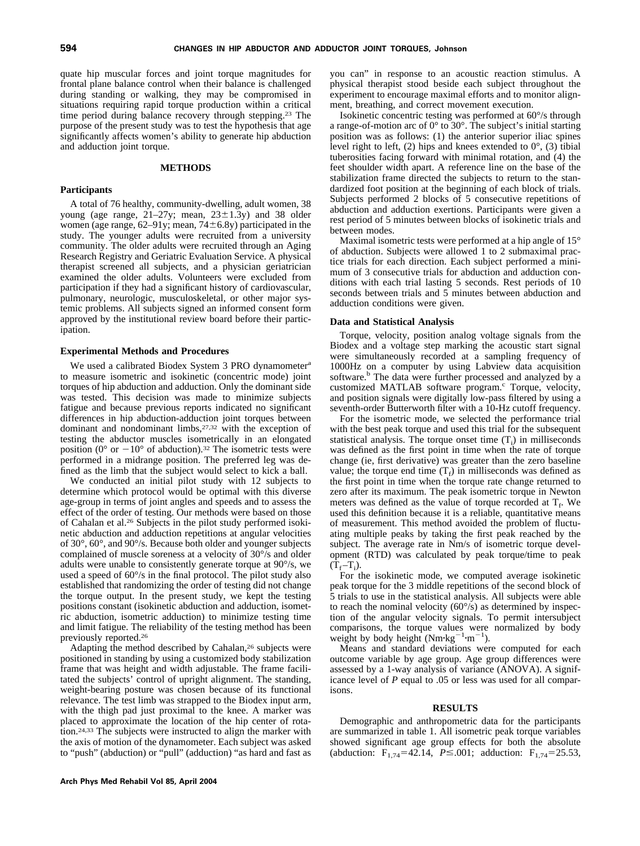quate hip muscular forces and joint torque magnitudes for frontal plane balance control when their balance is challenged during standing or walking, they may be compromised in situations requiring rapid torque production within a critical time period during balance recovery through stepping.23 The purpose of the present study was to test the hypothesis that age significantly affects women's ability to generate hip abduction and adduction joint torque.

## **METHODS**

#### **Participants**

A total of 76 healthy, community-dwelling, adult women, 38 young (age range,  $21-27y$ ; mean,  $23 \pm 1.3y$ ) and 38 older women (age range,  $62-91y$ ; mean,  $74\pm6.8y$ ) participated in the study. The younger adults were recruited from a university community. The older adults were recruited through an Aging Research Registry and Geriatric Evaluation Service. A physical therapist screened all subjects, and a physician geriatrician examined the older adults. Volunteers were excluded from participation if they had a significant history of cardiovascular, pulmonary, neurologic, musculoskeletal, or other major systemic problems. All subjects signed an informed consent form approved by the institutional review board before their participation.

## **Experimental Methods and Procedures**

We used a calibrated Biodex System 3 PRO dynamometer<sup>a</sup> to measure isometric and isokinetic (concentric mode) joint torques of hip abduction and adduction. Only the dominant side was tested. This decision was made to minimize subjects fatigue and because previous reports indicated no significant differences in hip abduction-adduction joint torques between dominant and nondominant limbs,<sup>27,32</sup> with the exception of testing the abductor muscles isometrically in an elongated position ( $0^{\circ}$  or  $-10^{\circ}$  of abduction).<sup>32</sup> The isometric tests were performed in a midrange position. The preferred leg was defined as the limb that the subject would select to kick a ball.

We conducted an initial pilot study with 12 subjects to determine which protocol would be optimal with this diverse age-group in terms of joint angles and speeds and to assess the effect of the order of testing. Our methods were based on those of Cahalan et al.26 Subjects in the pilot study performed isokinetic abduction and adduction repetitions at angular velocities of 30°, 60°, and 90°/s. Because both older and younger subjects complained of muscle soreness at a velocity of 30°/s and older adults were unable to consistently generate torque at 90°/s, we used a speed of 60°/s in the final protocol. The pilot study also established that randomizing the order of testing did not change the torque output. In the present study, we kept the testing positions constant (isokinetic abduction and adduction, isometric abduction, isometric adduction) to minimize testing time and limit fatigue. The reliability of the testing method has been previously reported.26

Adapting the method described by Cahalan,<sup>26</sup> subjects were positioned in standing by using a customized body stabilization frame that was height and width adjustable. The frame facilitated the subjects' control of upright alignment. The standing, weight-bearing posture was chosen because of its functional relevance. The test limb was strapped to the Biodex input arm, with the thigh pad just proximal to the knee. A marker was placed to approximate the location of the hip center of rotation.24,33 The subjects were instructed to align the marker with the axis of motion of the dynamometer. Each subject was asked to "push" (abduction) or "pull" (adduction) "as hard and fast as you can" in response to an acoustic reaction stimulus. A physical therapist stood beside each subject throughout the experiment to encourage maximal efforts and to monitor alignment, breathing, and correct movement execution.

Isokinetic concentric testing was performed at 60°/s through a range-of-motion arc of 0° to 30°. The subject's initial starting position was as follows: (1) the anterior superior iliac spines level right to left, (2) hips and knees extended to  $0^{\circ}$ , (3) tibial tuberosities facing forward with minimal rotation, and (4) the feet shoulder width apart. A reference line on the base of the stabilization frame directed the subjects to return to the standardized foot position at the beginning of each block of trials. Subjects performed 2 blocks of 5 consecutive repetitions of abduction and adduction exertions. Participants were given a rest period of 5 minutes between blocks of isokinetic trials and between modes.

Maximal isometric tests were performed at a hip angle of 15° of abduction. Subjects were allowed 1 to 2 submaximal practice trials for each direction. Each subject performed a minimum of 3 consecutive trials for abduction and adduction conditions with each trial lasting 5 seconds. Rest periods of 10 seconds between trials and 5 minutes between abduction and adduction conditions were given.

#### **Data and Statistical Analysis**

Torque, velocity, position analog voltage signals from the Biodex and a voltage step marking the acoustic start signal were simultaneously recorded at a sampling frequency of 1000Hz on a computer by using Labview data acquisition software.<sup>b</sup> The data were further processed and analyzed by a customized MATLAB software program.<sup>c</sup> Torque, velocity, and position signals were digitally low-pass filtered by using a seventh-order Butterworth filter with a 10-Hz cutoff frequency.

For the isometric mode, we selected the performance trial with the best peak torque and used this trial for the subsequent statistical analysis. The torque onset time  $(T_i)$  in milliseconds was defined as the first point in time when the rate of torque change (ie, first derivative) was greater than the zero baseline value; the torque end time  $(T_f)$  in milliseconds was defined as the first point in time when the torque rate change returned to zero after its maximum. The peak isometric torque in Newton meters was defined as the value of torque recorded at  $T_f$ . We used this definition because it is a reliable, quantitative means of measurement. This method avoided the problem of fluctuating multiple peaks by taking the first peak reached by the subject. The average rate in Nm/s of isometric torque development (RTD) was calculated by peak torque/time to peak  $(T_f-T_i)$ .

For the isokinetic mode, we computed average isokinetic peak torque for the 3 middle repetitions of the second block of 5 trials to use in the statistical analysis. All subjects were able to reach the nominal velocity  $(60^{\circ}/s)$  as determined by inspection of the angular velocity signals. To permit intersubject comparisons, the torque values were normalized by body weight by body height  $(Nm \cdot kg^{-1} \cdot m^{-1})$ .

Means and standard deviations were computed for each outcome variable by age group. Age group differences were assessed by a 1-way analysis of variance (ANOVA). A significance level of *P* equal to .05 or less was used for all comparisons.

#### **RESULTS**

Demographic and anthropometric data for the participants are summarized in table 1. All isometric peak torque variables showed significant age group effects for both the absolute (abduction:  $F_{1,74} = 42.14$ ,  $P \le 0.001$ ; adduction:  $F_{1,74} = 25.53$ ,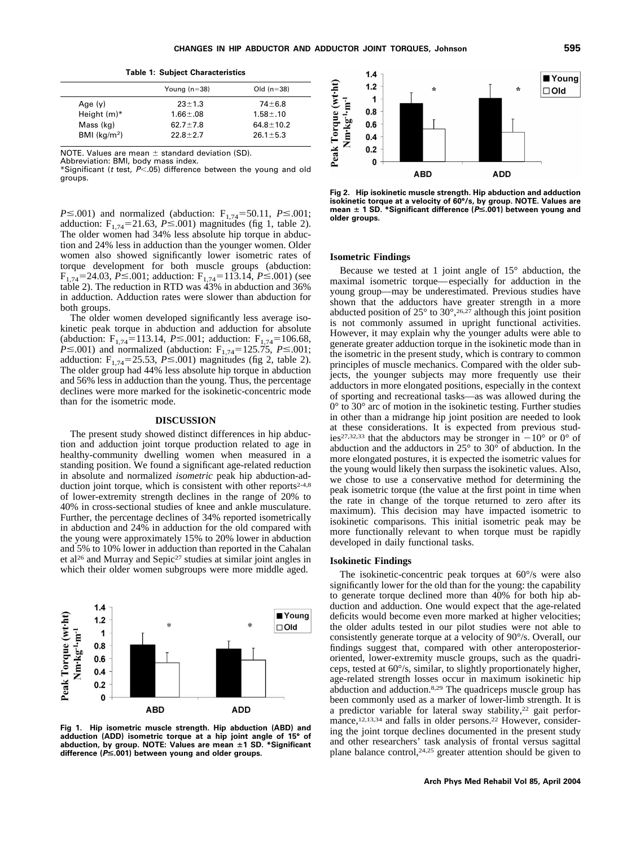|                | Young $(n=38)$ | Old $(n=38)$    |
|----------------|----------------|-----------------|
| Age $(v)$      | $23 \pm 1.3$   | $74 + 6.8$      |
| Height $(m)^*$ | $1.66 \pm .08$ | $1.58 \pm .10$  |
| Mass (kg)      | $62.7 \pm 7.8$ | $64.8 \pm 10.2$ |
| BMI $(kq/m2)$  | $22.8 + 2.7$   | $26.1 \pm 5.3$  |
|                |                |                 |

NOTE. Values are mean  $\pm$  standard deviation (SD). Abbreviation: BMI, body mass index.

\*Significant (*t* test, *P*.05) difference between the young and old groups.

*P* $\leq$ .001) and normalized (abduction: F<sub>1,74</sub>=50.11, *P* $\leq$ .001; adduction:  $F_{1,74}$ =21.63, *P* ≤ .001) magnitudes (fig 1, table 2). The older women had 34% less absolute hip torque in abduction and 24% less in adduction than the younger women. Older women also showed significantly lower isometric rates of torque development for both muscle groups (abduction:  $F_{1,74}$ =24.03, *P* $\leq$ .001; adduction:  $F_{1,74}$ =113.14, *P* $\leq$ .001) (see table 2). The reduction in RTD was 43% in abduction and 36% in adduction. Adduction rates were slower than abduction for both groups.

The older women developed significantly less average isokinetic peak torque in abduction and adduction for absolute (abduction:  $F_{1,74}$ =113.14, *P* $\leq$ .001; adduction:  $F_{1,74}$ =106.68, *P* $\leq$ .001) and normalized (abduction: F<sub>1,74</sub>=125.75, *P* $\leq$ .001; adduction:  $F_{1,74}$ =25.53, *P* $\leq$ .001) magnitudes (fig 2, table 2). The older group had 44% less absolute hip torque in abduction and 56% less in adduction than the young. Thus, the percentage declines were more marked for the isokinetic-concentric mode than for the isometric mode.

### **DISCUSSION**

The present study showed distinct differences in hip abduction and adduction joint torque production related to age in healthy-community dwelling women when measured in a standing position. We found a significant age-related reduction in absolute and normalized *isometric* peak hip abduction-adduction joint torque, which is consistent with other reports<sup>2-4,8</sup> of lower-extremity strength declines in the range of 20% to 40% in cross-sectional studies of knee and ankle musculature. Further, the percentage declines of 34% reported isometrically in abduction and 24% in adduction for the old compared with the young were approximately 15% to 20% lower in abduction and 5% to 10% lower in adduction than reported in the Cahalan et al26 and Murray and Sepic27 studies at similar joint angles in which their older women subgroups were more middle aged.



**Fig 1. Hip isometric muscle strength. Hip abduction (ABD) and adduction (ADD) isometric torque at a hip joint angle of 15° of abduction, by group. NOTE: Values are mean 1 SD. \*Significant difference (***P*<**.001) between young and older groups.**



**Fig 2. Hip isokinetic muscle strength. Hip abduction and adduction isokinetic torque at a velocity of 60°/s, by group. NOTE. Values are mean 1 SD. \*Significant difference (***P*<**.001) between young and older groups.**

# **Isometric Findings**

Because we tested at 1 joint angle of  $15^{\circ}$  abduction, the maximal isometric torque—especially for adduction in the young group—may be underestimated. Previous studies have shown that the adductors have greater strength in a more abducted position of  $25^{\circ}$  to  $30^{\circ},^{26,27}$  although this joint position is not commonly assumed in upright functional activities. However, it may explain why the younger adults were able to generate greater adduction torque in the isokinetic mode than in the isometric in the present study, which is contrary to common principles of muscle mechanics. Compared with the older subjects, the younger subjects may more frequently use their adductors in more elongated positions, especially in the context of sporting and recreational tasks—as was allowed during the 0° to 30° arc of motion in the isokinetic testing. Further studies in other than a midrange hip joint position are needed to look at these considerations. It is expected from previous studies<sup>27,32,33</sup> that the abductors may be stronger in  $-10^{\circ}$  or  $0^{\circ}$  of abduction and the adductors in 25° to 30° of abduction. In the more elongated postures, it is expected the isometric values for the young would likely then surpass the isokinetic values. Also, we chose to use a conservative method for determining the peak isometric torque (the value at the first point in time when the rate in change of the torque returned to zero after its maximum). This decision may have impacted isometric to isokinetic comparisons. This initial isometric peak may be more functionally relevant to when torque must be rapidly developed in daily functional tasks.

# **Isokinetic Findings**

The isokinetic-concentric peak torques at 60°/s were also significantly lower for the old than for the young: the capability to generate torque declined more than 40% for both hip abduction and adduction. One would expect that the age-related deficits would become even more marked at higher velocities; the older adults tested in our pilot studies were not able to consistently generate torque at a velocity of 90°/s. Overall, our findings suggest that, compared with other anteroposteriororiented, lower-extremity muscle groups, such as the quadriceps, tested at 60°/s, similar, to slightly proportionately higher, age-related strength losses occur in maximum isokinetic hip abduction and adduction.8,29 The quadriceps muscle group has been commonly used as a marker of lower-limb strength. It is a predictor variable for lateral sway stability,<sup>22</sup> gait performance,<sup>12,13,34</sup> and falls in older persons.<sup>22</sup> However, considering the joint torque declines documented in the present study and other researchers' task analysis of frontal versus sagittal plane balance control,<sup>24,25</sup> greater attention should be given to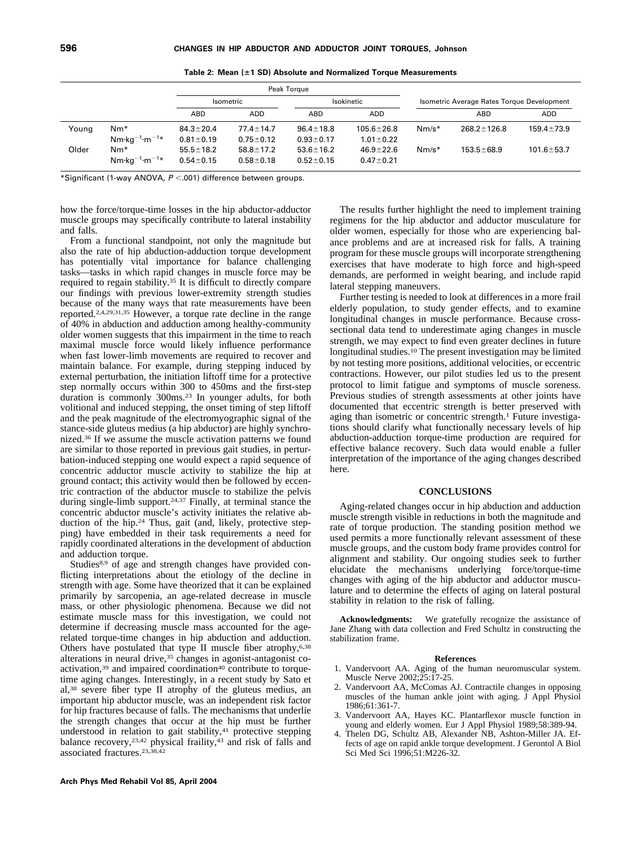|       |                                           |                                    |                                  | Peak Torque                        |                                  |                                            |                   |                  |
|-------|-------------------------------------------|------------------------------------|----------------------------------|------------------------------------|----------------------------------|--------------------------------------------|-------------------|------------------|
|       |                                           | Isometric                          |                                  | Isokinetic                         |                                  | Isometric Average Rates Torque Development |                   |                  |
|       |                                           | ABD                                | ADD                              | <b>ABD</b>                         | ADD                              |                                            | ABD               | <b>ADD</b>       |
| Young | $Nm*$                                     | $84.3 \pm 20.4$                    | $77.4 \pm 14.7$                  | $96.4 \pm 18.8$                    | $105.6 \pm 26.8$                 | $Nm/s*$                                    | $268.2 \pm 126.8$ | $159.4 \pm 73.9$ |
|       | $Nm \cdot kg^{-1} \cdot m^{-1*}$          | $0.81 \pm 0.19$                    | $0.75 \pm 0.12$                  | $0.93 \pm 0.17$                    | $1.01 \pm 0.22$                  |                                            |                   |                  |
| Older | $Nm*$<br>$Nm \cdot kg^{-1} \cdot m^{-1*}$ | $55.5 \pm 18.2$<br>$0.54 \pm 0.15$ | $58.8 \pm 17.2$<br>$0.58 + 0.18$ | $53.6 \pm 16.2$<br>$0.52 \pm 0.15$ | $46.9 \pm 22.6$<br>$0.47 + 0.21$ | $Nm/s*$                                    | $153.5 \pm 68.9$  | $101.6 \pm 53.7$ |

|  | Table 2: Mean $(\pm 1$ SD) Absolute and Normalized Torque Measurements |  |
|--|------------------------------------------------------------------------|--|
|--|------------------------------------------------------------------------|--|

\*Significant (1-way ANOVA, *P* .001) difference between groups.

how the force/torque-time losses in the hip abductor-adductor muscle groups may specifically contribute to lateral instability and falls.

From a functional standpoint, not only the magnitude but also the rate of hip abduction-adduction torque development has potentially vital importance for balance challenging tasks—tasks in which rapid changes in muscle force may be required to regain stability.35 It is difficult to directly compare our findings with previous lower-extremity strength studies because of the many ways that rate measurements have been reported.2,4,29,31,35 However, a torque rate decline in the range of 40% in abduction and adduction among healthy-community older women suggests that this impairment in the time to reach maximal muscle force would likely influence performance when fast lower-limb movements are required to recover and maintain balance. For example, during stepping induced by external perturbation, the initiation liftoff time for a protective step normally occurs within 300 to 450ms and the first-step duration is commonly 300ms.23 In younger adults, for both volitional and induced stepping, the onset timing of step liftoff and the peak magnitude of the electromyographic signal of the stance-side gluteus medius (a hip abductor) are highly synchronized.36 If we assume the muscle activation patterns we found are similar to those reported in previous gait studies, in perturbation-induced stepping one would expect a rapid sequence of concentric adductor muscle activity to stabilize the hip at ground contact; this activity would then be followed by eccentric contraction of the abductor muscle to stabilize the pelvis during single-limb support.24,37 Finally, at terminal stance the concentric abductor muscle's activity initiates the relative abduction of the hip.<sup>24</sup> Thus, gait (and, likely, protective stepping) have embedded in their task requirements a need for rapidly coordinated alterations in the development of abduction and adduction torque.

Studies<sup>8,9</sup> of age and strength changes have provided conflicting interpretations about the etiology of the decline in strength with age. Some have theorized that it can be explained primarily by sarcopenia, an age-related decrease in muscle mass, or other physiologic phenomena. Because we did not estimate muscle mass for this investigation, we could not determine if decreasing muscle mass accounted for the agerelated torque-time changes in hip abduction and adduction. Others have postulated that type II muscle fiber atrophy,<sup>6,38</sup> alterations in neural drive,35 changes in agonist-antagonist coactivation,<sup>39</sup> and impaired coordination<sup>40</sup> contribute to torquetime aging changes. Interestingly, in a recent study by Sato et al,38 severe fiber type II atrophy of the gluteus medius, an important hip abductor muscle, was an independent risk factor for hip fractures because of falls. The mechanisms that underlie the strength changes that occur at the hip must be further understood in relation to gait stability, $41$  protective stepping balance recovery,<sup>23,42</sup> physical fraility,<sup>43</sup> and risk of falls and associated fractures.23,38,42

The results further highlight the need to implement training regimens for the hip abductor and adductor musculature for older women, especially for those who are experiencing balance problems and are at increased risk for falls. A training program for these muscle groups will incorporate strengthening exercises that have moderate to high force and high-speed demands, are performed in weight bearing, and include rapid lateral stepping maneuvers.

Further testing is needed to look at differences in a more frail elderly population, to study gender effects, and to examine longitudinal changes in muscle performance. Because crosssectional data tend to underestimate aging changes in muscle strength, we may expect to find even greater declines in future longitudinal studies.<sup>10</sup> The present investigation may be limited by not testing more positions, additional velocities, or eccentric contractions. However, our pilot studies led us to the present protocol to limit fatigue and symptoms of muscle soreness. Previous studies of strength assessments at other joints have documented that eccentric strength is better preserved with aging than isometric or concentric strength.<sup>1</sup> Future investigations should clarify what functionally necessary levels of hip abduction-adduction torque-time production are required for effective balance recovery. Such data would enable a fuller interpretation of the importance of the aging changes described here.

## **CONCLUSIONS**

Aging-related changes occur in hip abduction and adduction muscle strength visible in reductions in both the magnitude and rate of torque production. The standing position method we used permits a more functionally relevant assessment of these muscle groups, and the custom body frame provides control for alignment and stability. Our ongoing studies seek to further elucidate the mechanisms underlying force/torque-time changes with aging of the hip abductor and adductor musculature and to determine the effects of aging on lateral postural stability in relation to the risk of falling.

**Acknowledgments:** We gratefully recognize the assistance of Jane Zhang with data collection and Fred Schultz in constructing the stabilization frame.

#### **References**

- 1. Vandervoort AA. Aging of the human neuromuscular system. Muscle Nerve 2002;25:17-25.
- 2. Vandervoort AA, McComas AJ. Contractile changes in opposing muscles of the human ankle joint with aging. J Appl Physiol 1986;61:361-7.
- 3. Vandervoort AA, Hayes KC. Plantarflexor muscle function in young and elderly women. Eur J Appl Physiol 1989;58:389-94.
- 4. Thelen DG, Schultz AB, Alexander NB, Ashton-Miller JA. Effects of age on rapid ankle torque development. J Gerontol A Biol Sci Med Sci 1996;51:M226-32.